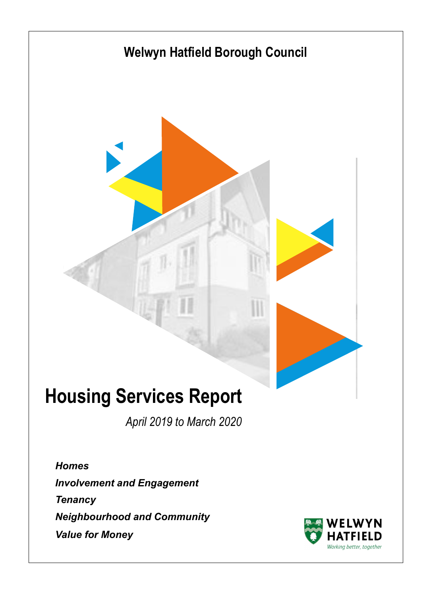

*April 2019 to March 2020*

*Homes Involvement and Engagement Tenancy Neighbourhood and Community Value for Money*

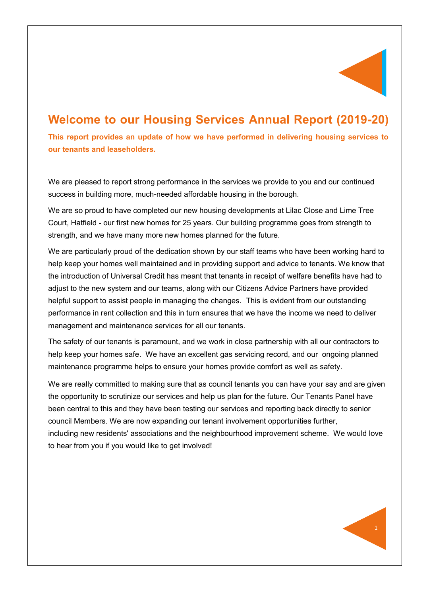

# **Welcome to our Housing Services Annual Report (2019-20)**

**This report provides an update of how we have performed in delivering housing services to our tenants and leaseholders.**

We are pleased to report strong performance in the services we provide to you and our continued success in building more, much-needed affordable housing in the borough.

We are so proud to have completed our new housing developments at Lilac Close and Lime Tree Court, Hatfield - our first new homes for 25 years. Our building programme goes from strength to strength, and we have many more new homes planned for the future.

We are particularly proud of the dedication shown by our staff teams who have been working hard to help keep your homes well maintained and in providing support and advice to tenants. We know that the introduction of Universal Credit has meant that tenants in receipt of welfare benefits have had to adjust to the new system and our teams, along with our Citizens Advice Partners have provided helpful support to assist people in managing the changes. This is evident from our outstanding performance in rent collection and this in turn ensures that we have the income we need to deliver management and maintenance services for all our tenants.

The safety of our tenants is paramount, and we work in close partnership with all our contractors to help keep your homes safe. We have an excellent gas servicing record, and our ongoing planned maintenance programme helps to ensure your homes provide comfort as well as safety.

We are really committed to making sure that as council tenants you can have your say and are given the opportunity to scrutinize our services and help us plan for the future. Our Tenants Panel have been central to this and they have been testing our services and reporting back directly to senior council Members. We are now expanding our tenant involvement opportunities further, including new residents' associations and the neighbourhood improvement scheme. We would love to hear from you if you would like to get involved!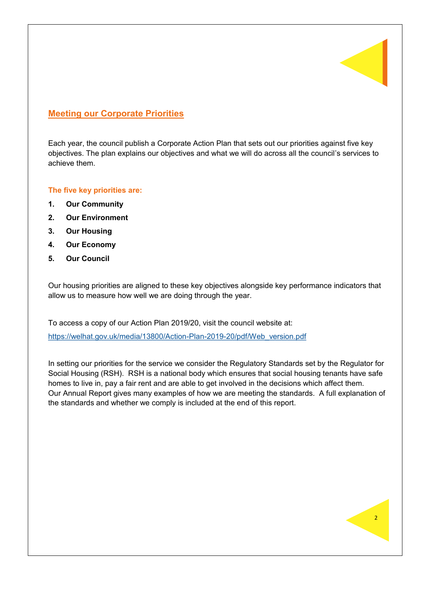

### **Meeting our Corporate Priorities**

Each year, the council publish a Corporate Action Plan that sets out our priorities against five key objectives. The plan explains our objectives and what we will do across all the council's services to achieve them.

#### **The five key priorities are:**

- **1. Our Community**
- **2. Our Environment**
- **3. Our Housing**
- **4. Our Economy**
- **5. Our Council**

Our housing priorities are aligned to these key objectives alongside key performance indicators that allow us to measure how well we are doing through the year.

To access a copy of our Action Plan 2019/20, visit the council website at:

[https://welhat.gov.uk/media/13800/Action](https://welhat.gov.uk/media/13800/Action-Plan-2019-20/pdf/Web_version.pdf)-Plan-2019-20/pdf/Web\_version.pdf

In setting our priorities for the service we consider the Regulatory Standards set by the Regulator for Social Housing (RSH). RSH is a national body which ensures that social housing tenants have safe homes to live in, pay a fair rent and are able to get involved in the decisions which affect them. Our Annual Report gives many examples of how we are meeting the standards. A full explanation of the standards and whether we comply is included at the end of this report.

 $\overline{2}$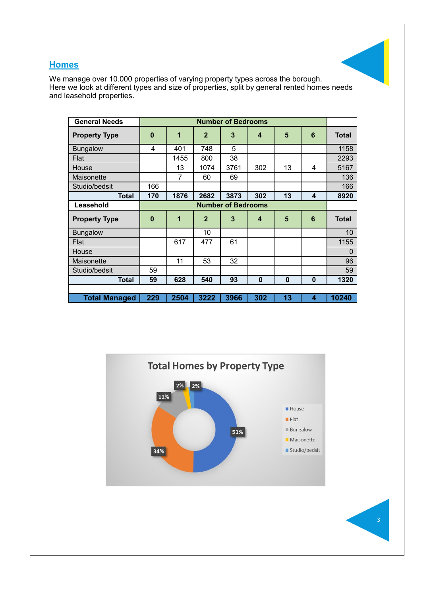## **Homes**



We manage over 10.000 properties of varying property types across the borough. Here we look at different types and size of properties, split by general rented homes needs and leasehold properties.

| <b>General Needs</b> |                           |      |                | <b>Number of Bedrooms</b> |                         |          |                         |                |
|----------------------|---------------------------|------|----------------|---------------------------|-------------------------|----------|-------------------------|----------------|
| <b>Property Type</b> | $\bf{0}$                  | 1    | $\overline{2}$ | 3                         | $\overline{\mathbf{4}}$ | 5        | $6\phantom{1}6$         | <b>Total</b>   |
| <b>Bungalow</b>      | 4                         | 401  | 748            | 5                         |                         |          |                         | 1158           |
| Flat                 |                           | 1455 | 800            | 38                        |                         |          |                         | 2293           |
| House                |                           | 13   | 1074           | 3761                      | 302                     | 13       | 4                       | 5167           |
| Maisonette           |                           | 7    | 60             | 69                        |                         |          |                         | 136            |
| Studio/bedsit        | 166                       |      |                |                           |                         |          |                         | 166            |
| <b>Total</b>         | 170                       | 1876 | 2682           | 3873                      | 302                     | 13       | $\overline{\mathbf{4}}$ | 8920           |
| Leasehold            | <b>Number of Bedrooms</b> |      |                |                           |                         |          |                         |                |
| <b>Property Type</b> | $\mathbf 0$               | 1    | $\overline{2}$ | 3                         | $\overline{\mathbf{4}}$ | 5        | 6                       | <b>Total</b>   |
| <b>Bungalow</b>      |                           |      | 10             |                           |                         |          |                         | 10             |
| Flat                 |                           | 617  | 477            | 61                        |                         |          |                         | 1155           |
| House                |                           |      |                |                           |                         |          |                         | $\overline{0}$ |
| Maisonette           |                           | 11   | 53             | 32                        |                         |          |                         | 96             |
| Studio/bedsit        | 59                        |      |                |                           |                         |          |                         | 59             |
| <b>Total</b>         | 59                        | 628  | 540            | 93                        | $\mathbf 0$             | $\bf{0}$ | $\boldsymbol{0}$        | 1320           |
|                      |                           |      |                |                           |                         |          |                         |                |
| <b>Total Managed</b> | 229                       | 2504 | 3222           | 3966                      | 302                     | 13       | $\overline{\mathbf{4}}$ | 10240          |



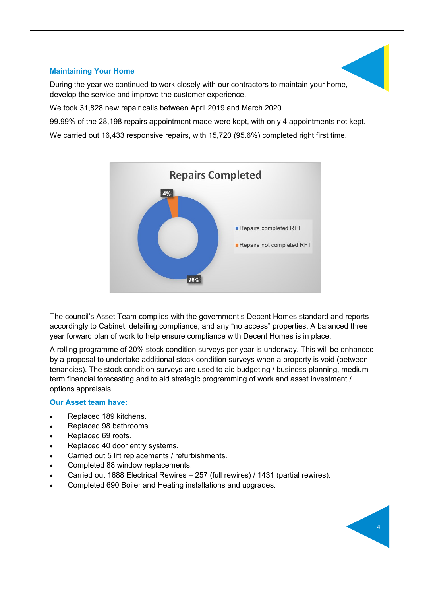#### **Maintaining Your Home**

During the year we continued to work closely with our contractors to maintain your home, develop the service and improve the customer experience.

We took 31,828 new repair calls between April 2019 and March 2020.

99.99% of the 28,198 repairs appointment made were kept, with only 4 appointments not kept.

We carried out 16,433 responsive repairs, with 15,720 (95.6%) completed right first time.



The council's Asset Team complies with the government's Decent Homes standard and reports accordingly to Cabinet, detailing compliance, and any "no access" properties. A balanced three year forward plan of work to help ensure compliance with Decent Homes is in place.

A rolling programme of 20% stock condition surveys per year is underway. This will be enhanced by a proposal to undertake additional stock condition surveys when a property is void (between tenancies). The stock condition surveys are used to aid budgeting / business planning, medium term financial forecasting and to aid strategic programming of work and asset investment / options appraisals.

4

#### **Our Asset team have:**

- Replaced 189 kitchens.
- Replaced 98 bathrooms.
- Replaced 69 roofs.
- Replaced 40 door entry systems.
- Carried out 5 lift replacements / refurbishments.
- Completed 88 window replacements.
- Carried out 1688 Electrical Rewires 257 (full rewires) / 1431 (partial rewires).
- Completed 690 Boiler and Heating installations and upgrades.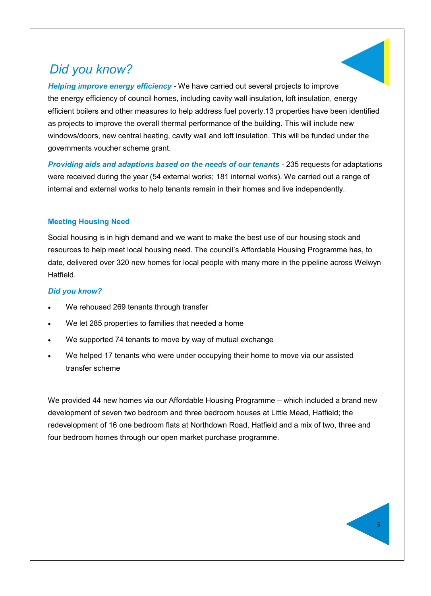# *Did you know?*

*Helping improve energy efficiency* - We have carried out several projects to improve the energy efficiency of council homes, including cavity wall insulation, loft insulation, energy efficient boilers and other measures to help address fuel poverty.13 properties have been identified as projects to improve the overall thermal performance of the building. This will include new windows/doors, new central heating, cavity wall and loft insulation. This will be funded under the governments voucher scheme grant.

**Providing aids and adaptions based on the needs of our tenants - 235 requests for adaptations** were received during the year (54 external works; 181 internal works). We carried out a range of internal and external works to help tenants remain in their homes and live independently.

#### **Meeting Housing Need**

Social housing is in high demand and we want to make the best use of our housing stock and resources to help meet local housing need. The council's Affordable Housing Programme has, to date, delivered over 320 new homes for local people with many more in the pipeline across Welwyn Hatfield.

#### *Did you know?*

- We rehoused 269 tenants through transfer
- We let 285 properties to families that needed a home
- We supported 74 tenants to move by way of mutual exchange
- We helped 17 tenants who were under occupying their home to move via our assisted transfer scheme

We provided 44 new homes via our Affordable Housing Programme – which included a brand new development of seven two bedroom and three bedroom houses at Little Mead, Hatfield; the redevelopment of 16 one bedroom flats at Northdown Road, Hatfield and a mix of two, three and four bedroom homes through our open market purchase programme.

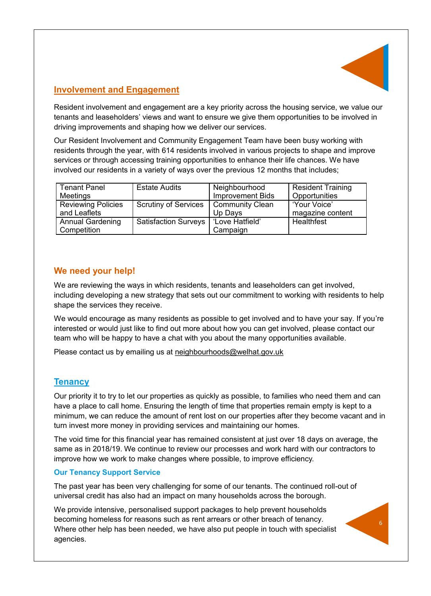

## **Involvement and Engagement**

Resident involvement and engagement are a key priority across the housing service, we value our tenants and leaseholders' views and want to ensure we give them opportunities to be involved in driving improvements and shaping how we deliver our services.

Our Resident Involvement and Community Engagement Team have been busy working with residents through the year, with 614 residents involved in various projects to shape and improve services or through accessing training opportunities to enhance their life chances. We have involved our residents in a variety of ways over the previous 12 months that includes;

| <b>Tenant Panel</b>                    | <b>Estate Audits</b>        | Neighbourhood               | <b>Resident Training</b> |
|----------------------------------------|-----------------------------|-----------------------------|--------------------------|
| <b>Meetings</b>                        |                             | <b>Improvement Bids</b>     | Opportunities            |
| <b>Reviewing Policies</b>              | <b>Scrutiny of Services</b> | <b>Community Clean</b>      | 'Your Voice'             |
| and Leaflets                           |                             | Up Days                     | magazine content         |
| <b>Annual Gardening</b><br>Competition | <b>Satisfaction Surveys</b> | 'Love Hatfield'<br>Campaign | Healthfest               |

### **We need your help!**

We are reviewing the ways in which residents, tenants and leaseholders can get involved, including developing a new strategy that sets out our commitment to working with residents to help shape the services they receive.

We would encourage as many residents as possible to get involved and to have your say. If you're interested or would just like to find out more about how you can get involved, please contact our team who will be happy to have a chat with you about the many opportunities available.

Please contact us by emailing us at neighbourhoods@welhat.gov.uk

### **Tenancy**

Our priority it to try to let our properties as quickly as possible, to families who need them and can have a place to call home. Ensuring the length of time that properties remain empty is kept to a minimum, we can reduce the amount of rent lost on our properties after they become vacant and in turn invest more money in providing services and maintaining our homes.

The void time for this financial year has remained consistent at just over 18 days on average, the same as in 2018/19. We continue to review our processes and work hard with our contractors to improve how we work to make changes where possible, to improve efficiency.

#### **Our Tenancy Support Service**

The past year has been very challenging for some of our tenants. The continued roll-out of universal credit has also had an impact on many households across the borough.

We provide intensive, personalised support packages to help prevent households becoming homeless for reasons such as rent arrears or other breach of tenancy. Where other help has been needed, we have also put people in touch with specialist agencies.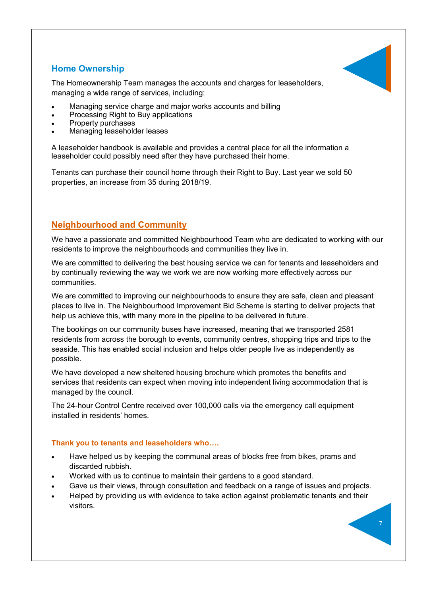### **Home Ownership**

The Homeownership Team manages the accounts and charges for leaseholders, managing a wide range of services, including:

- Managing service charge and major works accounts and billing
- Processing Right to Buy applications
- Property purchases
- Managing leaseholder leases

A leaseholder handbook is available and provides a central place for all the information a leaseholder could possibly need after they have purchased their home.

Tenants can purchase their council home through their Right to Buy. Last year we sold 50 properties, an increase from 35 during 2018/19.

### **Neighbourhood and Community**

We have a passionate and committed Neighbourhood Team who are dedicated to working with our residents to improve the neighbourhoods and communities they live in.

We are committed to delivering the best housing service we can for tenants and leaseholders and by continually reviewing the way we work we are now working more effectively across our communities.

We are committed to improving our neighbourhoods to ensure they are safe, clean and pleasant places to live in. The Neighbourhood Improvement Bid Scheme is starting to deliver projects that help us achieve this, with many more in the pipeline to be delivered in future.

The bookings on our community buses have increased, meaning that we transported 2581 residents from across the borough to events, community centres, shopping trips and trips to the seaside. This has enabled social inclusion and helps older people live as independently as possible.

We have developed a new sheltered housing brochure which promotes the benefits and services that residents can expect when moving into independent living accommodation that is managed by the council.

The 24-hour Control Centre received over 100,000 calls via the emergency call equipment installed in residents' homes.

#### **Thank you to tenants and leaseholders who….**

- Have helped us by keeping the communal areas of blocks free from bikes, prams and discarded rubbish.
- Worked with us to continue to maintain their gardens to a good standard.
- Gave us their views, through consultation and feedback on a range of issues and projects.
- Helped by providing us with evidence to take action against problematic tenants and their visitors.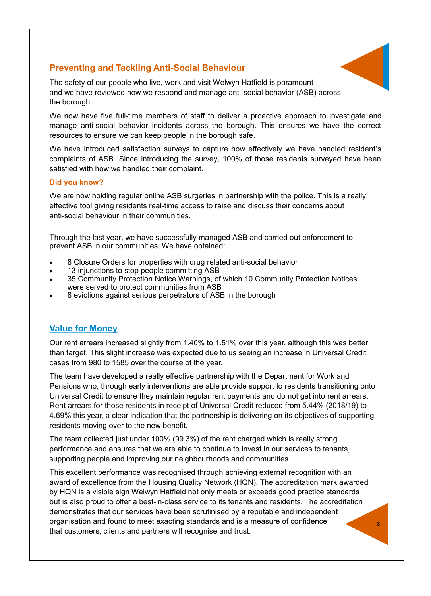### **Preventing and Tackling Anti-Social Behaviour**



The safety of our people who live, work and visit Welwyn Hatfield is paramount and we have reviewed how we respond and manage anti-social behavior (ASB) across the borough.

We now have five full-time members of staff to deliver a proactive approach to investigate and manage anti-social behavior incidents across the borough. This ensures we have the correct resources to ensure we can keep people in the borough safe.

We have introduced satisfaction surveys to capture how effectively we have handled resident's complaints of ASB. Since introducing the survey, 100% of those residents surveyed have been satisfied with how we handled their complaint.

#### **Did you know?**

We are now holding regular online ASB surgeries in partnership with the police. This is a really effective tool giving residents real-time access to raise and discuss their concerns about anti-social behaviour in their communities.

Through the last year, we have successfully managed ASB and carried out enforcement to prevent ASB in our communities. We have obtained:

- 8 Closure Orders for properties with drug related anti-social behavior
- 13 injunctions to stop people committing ASB
- 35 Community Protection Notice Warnings, of which 10 Community Protection Notices were served to protect communities from ASB
- 8 evictions against serious perpetrators of ASB in the borough

### **Value for Money**

Our rent arrears increased slightly from 1.40% to 1.51% over this year, although this was better than target. This slight increase was expected due to us seeing an increase in Universal Credit cases from 980 to 1585 over the course of the year.

The team have developed a really effective partnership with the Department for Work and Pensions who, through early interventions are able provide support to residents transitioning onto Universal Credit to ensure they maintain regular rent payments and do not get into rent arrears. Rent arrears for those residents in receipt of Universal Credit reduced from 5.44% (2018/19) to 4.69% this year, a clear indication that the partnership is delivering on its objectives of supporting residents moving over to the new benefit.

The team collected just under 100% (99.3%) of the rent charged which is really strong performance and ensures that we are able to continue to invest in our services to tenants, supporting people and improving our neighbourhoods and communities.

This excellent performance was recognised through achieving external recognition with an award of excellence from the Housing Quality Network (HQN). The accreditation mark awarded by HQN is a visible sign Welwyn Hatfield not only meets or exceeds good practice standards but is also proud to offer a best-in-class service to its tenants and residents. The accreditation demonstrates that our services have been scrutinised by a reputable and independent organisation and found to meet exacting standards and is a measure of confidence that customers, clients and partners will recognise and trust.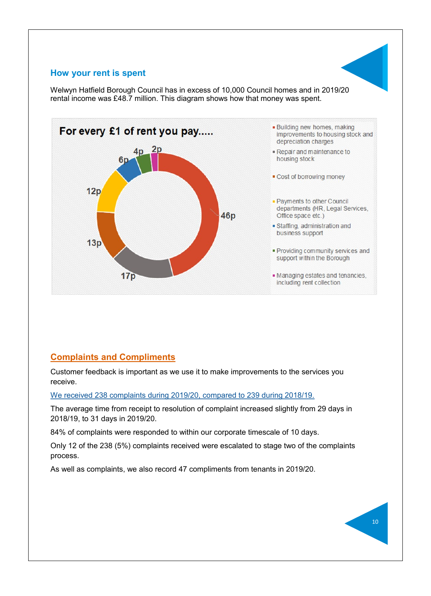#### **How your rent is spent**

Welwyn Hatfield Borough Council has in excess of 10,000 Council homes and in 2019/20 rental income was £48.7 million. This diagram shows how that money was spent.



## **Complaints and Compliments**

Customer feedback is important as we use it to make improvements to the services you receive.

We received 238 complaints during 2019/20, compared to 239 during 2018/19.

The average time from receipt to resolution of complaint increased slightly from 29 days in 2018/19, to 31 days in 2019/20.

84% of complaints were responded to within our corporate timescale of 10 days.

Only 12 of the 238 (5%) complaints received were escalated to stage two of the complaints process.

As well as complaints, we also record 47 compliments from tenants in 2019/20.

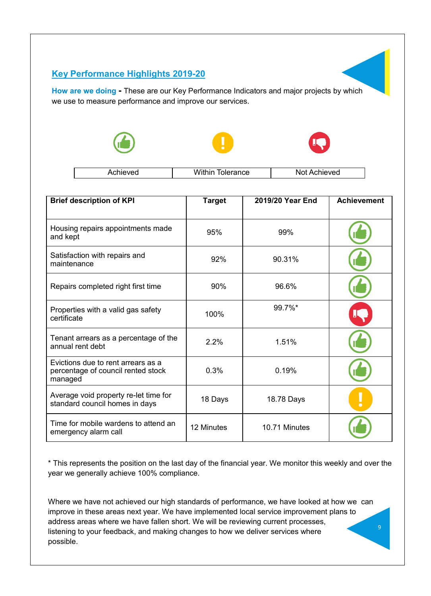## **Key Performance Highlights 2019-20**

**How are we doing -** These are our Key Performance Indicators and major projects by which we use to measure performance and improve our services.







|  |  | rΩ<br>.<br>◡◡ | . .<br>'vea |
|--|--|---------------|-------------|
|--|--|---------------|-------------|

| <b>Brief description of KPI</b>                                                     | <b>Target</b> | 2019/20 Year End | <b>Achievement</b> |
|-------------------------------------------------------------------------------------|---------------|------------------|--------------------|
| Housing repairs appointments made<br>and kept                                       | 95%           | 99%              |                    |
| Satisfaction with repairs and<br>maintenance                                        | 92%           | 90.31%           |                    |
| Repairs completed right first time                                                  | 90%           | 96.6%            |                    |
| Properties with a valid gas safety<br>certificate                                   | 100%          | 99.7%*           |                    |
| Tenant arrears as a percentage of the<br>annual rent debt                           | 2.2%          | 1.51%            |                    |
| Evictions due to rent arrears as a<br>percentage of council rented stock<br>managed | 0.3%          | 0.19%            |                    |
| Average void property re-let time for<br>standard council homes in days             | 18 Days       | 18.78 Days       |                    |
| Time for mobile wardens to attend an<br>emergency alarm call                        | 12 Minutes    | 10.71 Minutes    |                    |

\* This represents the position on the last day of the financial year. We monitor this weekly and over the year we generally achieve 100% compliance.

Where we have not achieved our high standards of performance, we have looked at how we can improve in these areas next year. We have implemented local service improvement plans to address areas where we have fallen short. We will be reviewing current processes, listening to your feedback, and making changes to how we deliver services where possible.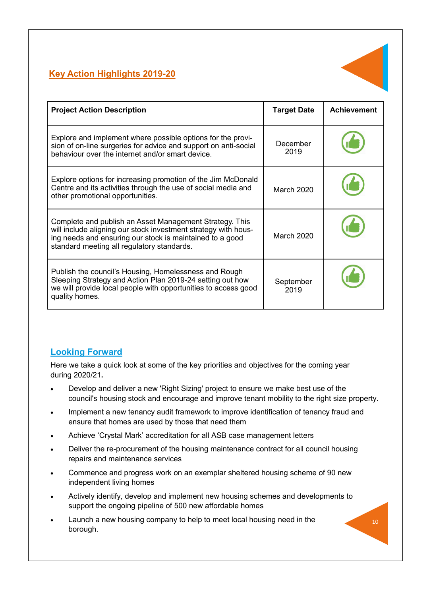## **Key Action Highlights 2019-20**



| <b>Project Action Description</b>                                                                                                                                                                                                   | <b>Target Date</b> | <b>Achievement</b> |
|-------------------------------------------------------------------------------------------------------------------------------------------------------------------------------------------------------------------------------------|--------------------|--------------------|
| Explore and implement where possible options for the provi-<br>sion of on-line surgeries for advice and support on anti-social<br>behaviour over the internet and/or smart device.                                                  | December<br>2019   |                    |
| Explore options for increasing promotion of the Jim McDonald<br>Centre and its activities through the use of social media and<br>other promotional opportunities.                                                                   | <b>March 2020</b>  |                    |
| Complete and publish an Asset Management Strategy. This<br>will include aligning our stock investment strategy with hous-<br>ing needs and ensuring our stock is maintained to a good<br>standard meeting all regulatory standards. | <b>March 2020</b>  |                    |
| Publish the council's Housing, Homelessness and Rough<br>Sleeping Strategy and Action Plan 2019-24 setting out how<br>we will provide local people with opportunities to access good<br>quality homes.                              | September<br>2019  |                    |

## **Looking Forward**

Here we take a quick look at some of the key priorities and objectives for the coming year during 2020/21**.**

- Develop and deliver a new 'Right Sizing' project to ensure we make best use of the council's housing stock and encourage and improve tenant mobility to the right size property.
- Implement a new tenancy audit framework to improve identification of tenancy fraud and ensure that homes are used by those that need them
- Achieve 'Crystal Mark' accreditation for all ASB case management letters
- Deliver the re-procurement of the housing maintenance contract for all council housing repairs and maintenance services
- Commence and progress work on an exemplar sheltered housing scheme of 90 new independent living homes
- Actively identify, develop and implement new housing schemes and developments to support the ongoing pipeline of 500 new affordable homes
- Launch a new housing company to help to meet local housing need in the borough.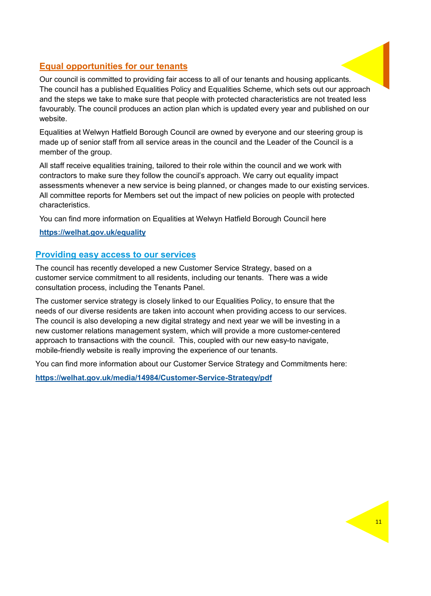### **Equal opportunities for our tenants**

Our council is committed to providing fair access to all of our tenants and housing applicants. The council has a published Equalities Policy and Equalities Scheme, which sets out our approach and the steps we take to make sure that people with protected characteristics are not treated less favourably. The council produces an action plan which is updated every year and published on our website.

Equalities at Welwyn Hatfield Borough Council are owned by everyone and our steering group is made up of senior staff from all service areas in the council and the Leader of the Council is a member of the group.

All staff receive equalities training, tailored to their role within the council and we work with contractors to make sure they follow the council's approach. We carry out equality impact assessments whenever a new service is being planned, or changes made to our existing services. All committee reports for Members set out the impact of new policies on people with protected characteristics.

You can find more information on Equalities at Welwyn Hatfield Borough Council here

**<https://welhat.gov.uk/equality>**

### **Providing easy access to our services**

The council has recently developed a new Customer Service Strategy, based on a customer service commitment to all residents, including our tenants. There was a wide consultation process, including the Tenants Panel.

The customer service strategy is closely linked to our Equalities Policy, to ensure that the needs of our diverse residents are taken into account when providing access to our services. The council is also developing a new digital strategy and next year we will be investing in a new customer relations management system, which will provide a more customer-centered approach to transactions with the council. This, coupled with our new easy-to navigate, mobile-friendly website is really improving the experience of our tenants.

You can find more information about our Customer Service Strategy and Commitments here:

**[https://welhat.gov.uk/media/14984/Customer](https://welhat.gov.uk/media/14984/Customer-Service-Strategy/pdf)-Service-Strategy/pdf**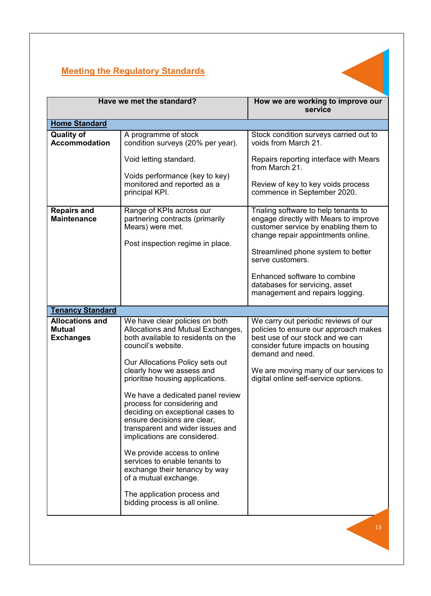

| Have we met the standard?                                   |                                                                                                                                                                                                        | How we are working to improve our<br>service                                                                                                                                                                          |
|-------------------------------------------------------------|--------------------------------------------------------------------------------------------------------------------------------------------------------------------------------------------------------|-----------------------------------------------------------------------------------------------------------------------------------------------------------------------------------------------------------------------|
| <b>Home Standard</b>                                        |                                                                                                                                                                                                        |                                                                                                                                                                                                                       |
| <b>Quality of</b><br><b>Accommodation</b>                   | A programme of stock<br>condition surveys (20% per year).<br>Void letting standard.                                                                                                                    | Stock condition surveys carried out to<br>voids from March 21.<br>Repairs reporting interface with Mears<br>from March 21.                                                                                            |
|                                                             | Voids performance (key to key)<br>monitored and reported as a<br>principal KPI.                                                                                                                        | Review of key to key voids process<br>commence in September 2020.                                                                                                                                                     |
| <b>Repairs and</b><br><b>Maintenance</b>                    | Range of KPIs across our<br>partnering contracts (primarily<br>Mears) were met.<br>Post inspection regime in place.                                                                                    | Trialing software to help tenants to<br>engage directly with Mears to improve<br>customer service by enabling them to<br>change repair appointments online.<br>Streamlined phone system to better<br>serve customers. |
|                                                             |                                                                                                                                                                                                        | Enhanced software to combine<br>databases for servicing, asset<br>management and repairs logging.                                                                                                                     |
| <b>Tenancy Standard</b>                                     |                                                                                                                                                                                                        |                                                                                                                                                                                                                       |
| <b>Allocations and</b><br><b>Mutual</b><br><b>Exchanges</b> | We have clear policies on both<br>Allocations and Mutual Exchanges,<br>both available to residents on the<br>council's website.<br>Our Allocations Policy sets out                                     | We carry out periodic reviews of our<br>policies to ensure our approach makes<br>best use of our stock and we can<br>consider future impacts on housing<br>demand and need.                                           |
|                                                             | clearly how we assess and<br>prioritise housing applications.                                                                                                                                          | We are moving many of our services to<br>digital online self-service options.                                                                                                                                         |
|                                                             | We have a dedicated panel review<br>process for considering and<br>deciding on exceptional cases to<br>ensure decisions are clear,<br>transparent and wider issues and<br>implications are considered. |                                                                                                                                                                                                                       |
|                                                             | We provide access to online<br>services to enable tenants to<br>exchange their tenancy by way<br>of a mutual exchange.                                                                                 |                                                                                                                                                                                                                       |
|                                                             | The application process and<br>bidding process is all online.                                                                                                                                          |                                                                                                                                                                                                                       |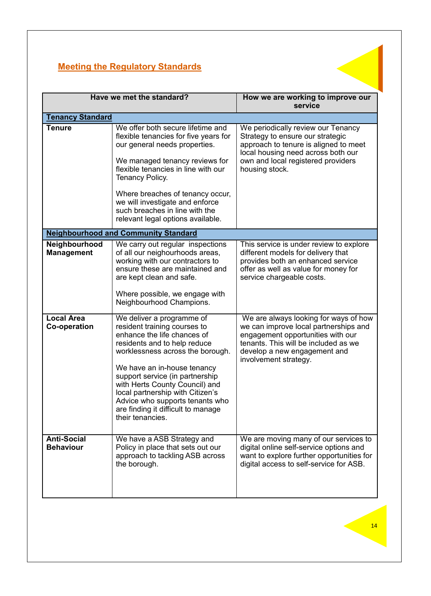|                                          | Have we met the standard?                                                                                                                                                                                                                                                                                                                                                                         | How we are working to improve our<br>service                                                                                                                                                                         |
|------------------------------------------|---------------------------------------------------------------------------------------------------------------------------------------------------------------------------------------------------------------------------------------------------------------------------------------------------------------------------------------------------------------------------------------------------|----------------------------------------------------------------------------------------------------------------------------------------------------------------------------------------------------------------------|
| <b>Tenancy Standard</b>                  |                                                                                                                                                                                                                                                                                                                                                                                                   |                                                                                                                                                                                                                      |
| <b>Tenure</b>                            | We offer both secure lifetime and<br>flexible tenancies for five years for<br>our general needs properties.<br>We managed tenancy reviews for<br>flexible tenancies in line with our<br><b>Tenancy Policy.</b><br>Where breaches of tenancy occur,<br>we will investigate and enforce<br>such breaches in line with the<br>relevant legal options available.                                      | We periodically review our Tenancy<br>Strategy to ensure our strategic<br>approach to tenure is aligned to meet<br>local housing need across both our<br>own and local registered providers<br>housing stock.        |
|                                          | <b>Neighbourhood and Community Standard</b>                                                                                                                                                                                                                                                                                                                                                       |                                                                                                                                                                                                                      |
| Neighbourhood<br><b>Management</b>       | We carry out regular inspections<br>of all our neighourhoods areas,<br>working with our contractors to<br>ensure these are maintained and<br>are kept clean and safe.<br>Where possible, we engage with<br>Neighbourhood Champions.                                                                                                                                                               | This service is under review to explore<br>different models for delivery that<br>provides both an enhanced service<br>offer as well as value for money for<br>service chargeable costs.                              |
| <b>Local Area</b><br><b>Co-operation</b> | We deliver a programme of<br>resident training courses to<br>enhance the life chances of<br>residents and to help reduce<br>worklessness across the borough.<br>We have an in-house tenancy<br>support service (in partnership<br>with Herts County Council) and<br>local partnership with Citizen's<br>Advice who supports tenants who<br>are finding it difficult to manage<br>their tenancies. | We are always looking for ways of how<br>we can improve local partnerships and<br>engagement opportunities with our<br>tenants. This will be included as we<br>develop a new engagement and<br>involvement strategy. |
| <b>Anti-Social</b><br><b>Behaviour</b>   | We have a ASB Strategy and<br>Policy in place that sets out our<br>approach to tackling ASB across<br>the borough.                                                                                                                                                                                                                                                                                | We are moving many of our services to<br>digital online self-service options and<br>want to explore further opportunities for<br>digital access to self-service for ASB.                                             |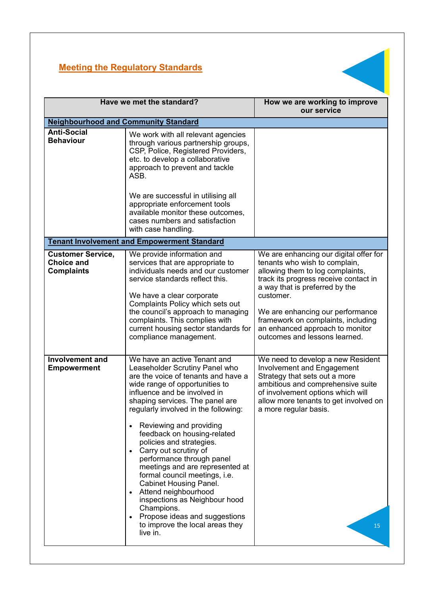

| Have we met the standard?                                          |                                                                                                                                                                                                                                                                                                                                                                                                                                                                                                                                                                                                                                                                         | How we are working to improve<br>our service                                                                                                                                                                                                                                                                                                      |  |  |  |
|--------------------------------------------------------------------|-------------------------------------------------------------------------------------------------------------------------------------------------------------------------------------------------------------------------------------------------------------------------------------------------------------------------------------------------------------------------------------------------------------------------------------------------------------------------------------------------------------------------------------------------------------------------------------------------------------------------------------------------------------------------|---------------------------------------------------------------------------------------------------------------------------------------------------------------------------------------------------------------------------------------------------------------------------------------------------------------------------------------------------|--|--|--|
|                                                                    | <b>Neighbourhood and Community Standard</b>                                                                                                                                                                                                                                                                                                                                                                                                                                                                                                                                                                                                                             |                                                                                                                                                                                                                                                                                                                                                   |  |  |  |
| <b>Anti-Social</b><br><b>Behaviour</b>                             | We work with all relevant agencies<br>through various partnership groups,<br>CSP, Police, Registered Providers,<br>etc. to develop a collaborative<br>approach to prevent and tackle<br>ASB.<br>We are successful in utilising all<br>appropriate enforcement tools<br>available monitor these outcomes,<br>cases numbers and satisfaction<br>with case handling.                                                                                                                                                                                                                                                                                                       |                                                                                                                                                                                                                                                                                                                                                   |  |  |  |
|                                                                    | <b>Tenant Involvement and Empowerment Standard</b>                                                                                                                                                                                                                                                                                                                                                                                                                                                                                                                                                                                                                      |                                                                                                                                                                                                                                                                                                                                                   |  |  |  |
| <b>Customer Service,</b><br><b>Choice and</b><br><b>Complaints</b> | We provide information and<br>services that are appropriate to<br>individuals needs and our customer<br>service standards reflect this.<br>We have a clear corporate<br>Complaints Policy which sets out<br>the council's approach to managing<br>complaints. This complies with<br>current housing sector standards for<br>compliance management.                                                                                                                                                                                                                                                                                                                      | We are enhancing our digital offer for<br>tenants who wish to complain,<br>allowing them to log complaints,<br>track its progress receive contact in<br>a way that is preferred by the<br>customer.<br>We are enhancing our performance<br>framework on complaints, including<br>an enhanced approach to monitor<br>outcomes and lessons learned. |  |  |  |
| <b>Involvement and</b><br><b>Empowerment</b>                       | We have an active Tenant and<br>Leaseholder Scrutiny Panel who<br>are the voice of tenants and have a<br>wide range of opportunities to<br>influence and be involved in<br>shaping services. The panel are<br>regularly involved in the following:<br>Reviewing and providing<br>feedback on housing-related<br>policies and strategies.<br>Carry out scrutiny of<br>performance through panel<br>meetings and are represented at<br>formal council meetings, i.e.<br><b>Cabinet Housing Panel.</b><br>Attend neighbourhood<br>$\bullet$<br>inspections as Neighbour hood<br>Champions.<br>Propose ideas and suggestions<br>to improve the local areas they<br>live in. | We need to develop a new Resident<br><b>Involvement and Engagement</b><br>Strategy that sets out a more<br>ambitious and comprehensive suite<br>of involvement options which will<br>allow more tenants to get involved on<br>a more regular basis.<br>15                                                                                         |  |  |  |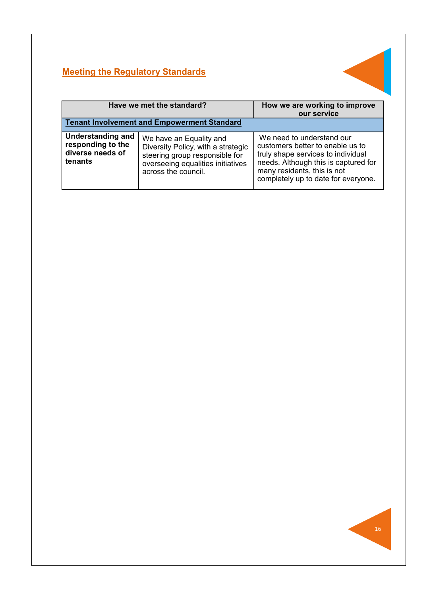

| Have we met the standard?                                                    |                                                                                                                                                             | How we are working to improve<br>our service                                                                                                                                                                      |  |
|------------------------------------------------------------------------------|-------------------------------------------------------------------------------------------------------------------------------------------------------------|-------------------------------------------------------------------------------------------------------------------------------------------------------------------------------------------------------------------|--|
| <b>Tenant Involvement and Empowerment Standard</b>                           |                                                                                                                                                             |                                                                                                                                                                                                                   |  |
| <b>Understanding and</b><br>responding to the<br>diverse needs of<br>tenants | We have an Equality and<br>Diversity Policy, with a strategic<br>steering group responsible for<br>overseeing equalities initiatives<br>across the council. | We need to understand our<br>customers better to enable us to<br>truly shape services to individual<br>needs. Although this is captured for<br>many residents, this is not<br>completely up to date for everyone. |  |